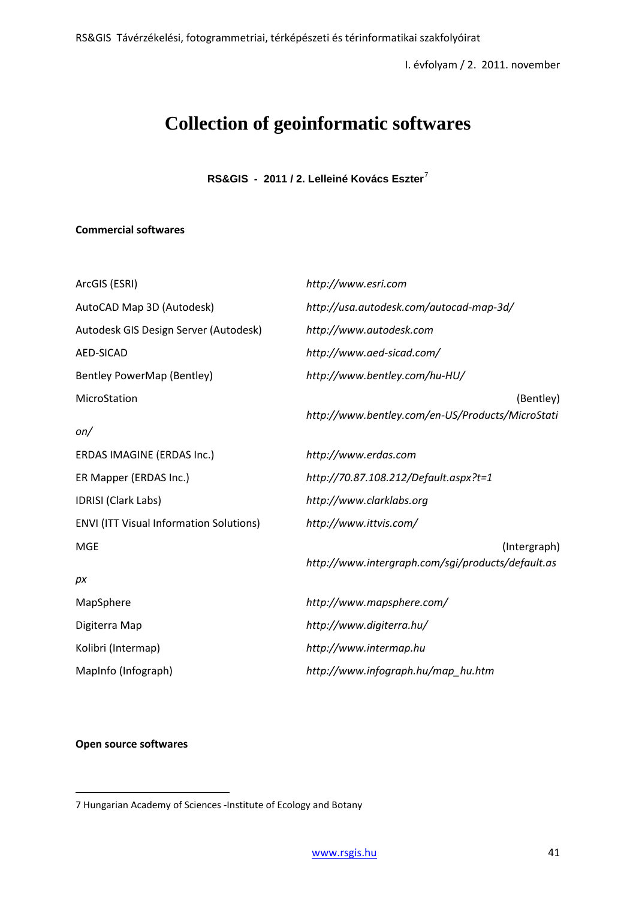# **Collection of geoinformatic softwares**

**RS&GIS - 2011 / 2. Lelleiné Kovács Eszter**[7](#page--1-0)

# **Commercial softwares**

| ArcGIS (ESRI)                                  | http://www.esri.com                                               |  |  |
|------------------------------------------------|-------------------------------------------------------------------|--|--|
| AutoCAD Map 3D (Autodesk)                      | http://usa.autodesk.com/autocad-map-3d/                           |  |  |
| Autodesk GIS Design Server (Autodesk)          | http://www.autodesk.com                                           |  |  |
| <b>AED-SICAD</b>                               | http://www.aed-sicad.com/                                         |  |  |
| Bentley PowerMap (Bentley)                     | http://www.bentley.com/hu-HU/                                     |  |  |
| MicroStation<br>on/                            | (Bentley)<br>http://www.bentley.com/en-US/Products/MicroStati     |  |  |
| ERDAS IMAGINE (ERDAS Inc.)                     | http://www.erdas.com                                              |  |  |
| ER Mapper (ERDAS Inc.)                         | http://70.87.108.212/Default.aspx?t=1                             |  |  |
| <b>IDRISI</b> (Clark Labs)                     | http://www.clarklabs.org                                          |  |  |
| <b>ENVI (ITT Visual Information Solutions)</b> | http://www.ittvis.com/                                            |  |  |
| <b>MGE</b><br>pх                               | (Intergraph)<br>http://www.intergraph.com/sgi/products/default.as |  |  |
| MapSphere                                      | http://www.mapsphere.com/                                         |  |  |
| Digiterra Map                                  | http://www.digiterra.hu/                                          |  |  |
| Kolibri (Intermap)                             | http://www.intermap.hu                                            |  |  |
| MapInfo (Infograph)                            | http://www.infograph.hu/map_hu.htm                                |  |  |
|                                                |                                                                   |  |  |

#### **Open source softwares**

 $\overline{a}$ 

<sup>7</sup> Hungarian Academy of Sciences -Institute of Ecology and Botany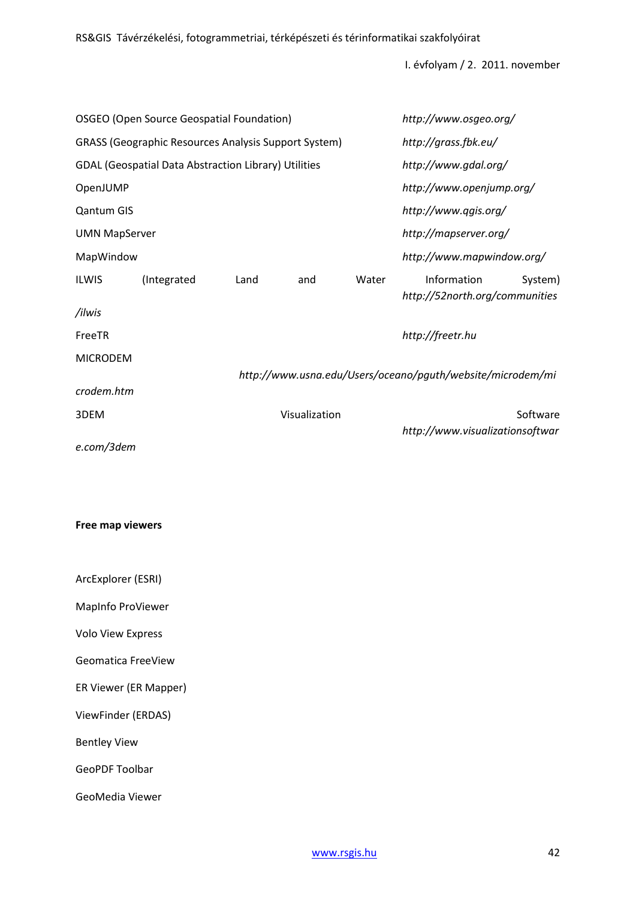| OSGEO (Open Source Geospatial Foundation)                   |             |      |               | http://www.osgeo.org/     |                                                            |          |
|-------------------------------------------------------------|-------------|------|---------------|---------------------------|------------------------------------------------------------|----------|
| <b>GRASS (Geographic Resources Analysis Support System)</b> |             |      |               | http://grass.fbk.eu/      |                                                            |          |
| GDAL (Geospatial Data Abstraction Library) Utilities        |             |      |               | http://www.gdal.org/      |                                                            |          |
| OpenJUMP                                                    |             |      |               |                           | http://www.openjump.org/                                   |          |
| <b>Qantum GIS</b>                                           |             |      |               | http://www.qgis.org/      |                                                            |          |
| <b>UMN MapServer</b>                                        |             |      |               | http://mapserver.org/     |                                                            |          |
| MapWindow                                                   |             |      |               | http://www.mapwindow.org/ |                                                            |          |
| <b>ILWIS</b>                                                | (Integrated | Land | and           | Water                     | Information<br>http://52north.org/communities              | System)  |
| /ilwis                                                      |             |      |               |                           |                                                            |          |
| FreeTR                                                      |             |      |               |                           | http://freetr.hu                                           |          |
| <b>MICRODEM</b>                                             |             |      |               |                           | http://www.usna.edu/Users/oceano/pguth/website/microdem/mi |          |
| crodem.htm                                                  |             |      |               |                           |                                                            |          |
| 3DEM                                                        |             |      | Visualization |                           |                                                            | Software |
| e.com/3dem                                                  |             |      |               |                           | http://www.visualizationsoftwar                            |          |

## **Free map viewers**

| ArcExplorer (ESRI) |  |
|--------------------|--|
|                    |  |

MapInfo ProViewer

Volo View Express

Geomatica FreeView

ER Viewer (ER Mapper)

ViewFinder (ERDAS)

Bentley View

GeoPDF Toolbar

GeoMedia Viewer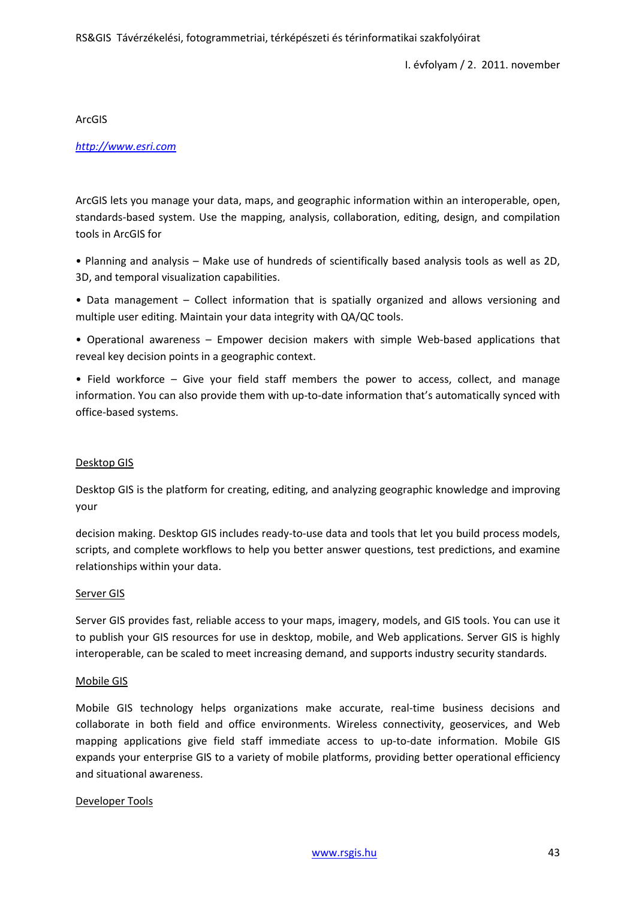ArcGIS

#### *[http://www.esri.com](http://www.esri.com/)*

ArcGIS lets you manage your data, maps, and geographic information within an interoperable, open, standards-based system. Use the mapping, analysis, collaboration, editing, design, and compilation tools in ArcGIS for

• Planning and analysis – Make use of hundreds of scientifically based analysis tools as well as 2D, 3D, and temporal visualization capabilities.

• Data management – Collect information that is spatially organized and allows versioning and multiple user editing. Maintain your data integrity with QA/QC tools.

• Operational awareness – Empower decision makers with simple Web-based applications that reveal key decision points in a geographic context.

• Field workforce – Give your field staff members the power to access, collect, and manage information. You can also provide them with up-to-date information that's automatically synced with office-based systems.

#### Desktop GIS

Desktop GIS is the platform for creating, editing, and analyzing geographic knowledge and improving your

decision making. Desktop GIS includes ready-to-use data and tools that let you build process models, scripts, and complete workflows to help you better answer questions, test predictions, and examine relationships within your data.

#### Server GIS

Server GIS provides fast, reliable access to your maps, imagery, models, and GIS tools. You can use it to publish your GIS resources for use in desktop, mobile, and Web applications. Server GIS is highly interoperable, can be scaled to meet increasing demand, and supports industry security standards.

#### Mobile GIS

Mobile GIS technology helps organizations make accurate, real-time business decisions and collaborate in both field and office environments. Wireless connectivity, geoservices, and Web mapping applications give field staff immediate access to up-to-date information. Mobile GIS expands your enterprise GIS to a variety of mobile platforms, providing better operational efficiency and situational awareness.

#### Developer Tools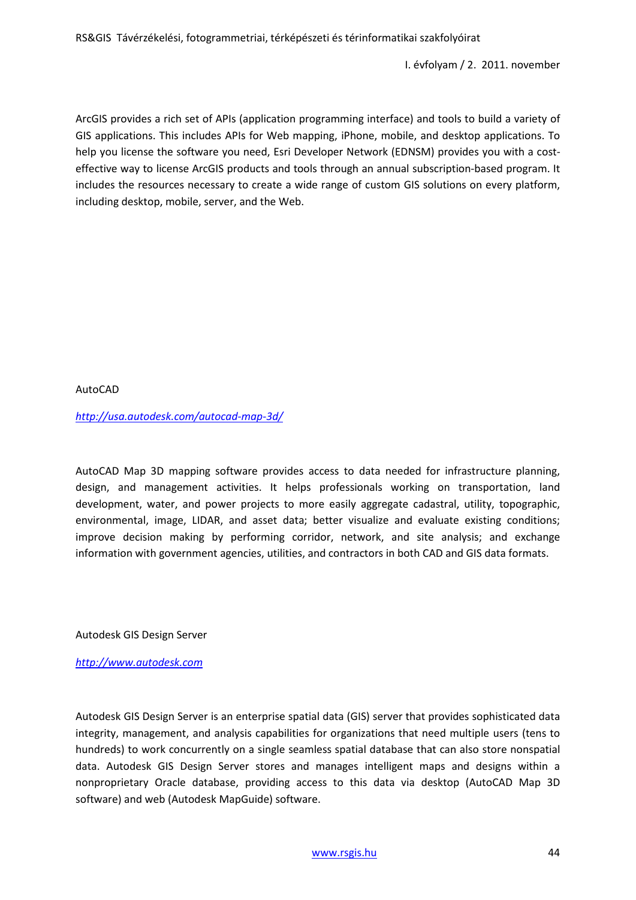I. évfolyam / 2. 2011. november

ArcGIS provides a rich set of APIs (application programming interface) and tools to build a variety of GIS applications. This includes APIs for Web mapping, iPhone, mobile, and desktop applications. To help you license the software you need, Esri Developer Network (EDNSM) provides you with a costeffective way to license ArcGIS products and tools through an annual subscription-based program. It includes the resources necessary to create a wide range of custom GIS solutions on every platform, including desktop, mobile, server, and the Web.

AutoCAD

*<http://usa.autodesk.com/autocad-map-3d/>*

AutoCAD Map 3D mapping software provides access to data needed for infrastructure planning, design, and management activities. It helps professionals working on transportation, land development, water, and power projects to more easily aggregate cadastral, utility, topographic, environmental, image, LIDAR, and asset data; better visualize and evaluate existing conditions; improve decision making by performing corridor, network, and site analysis; and exchange information with government agencies, utilities, and contractors in both CAD and GIS data formats.

Autodesk GIS Design Server

*[http://www.autodesk.com](http://www.autodesk.com/)*

Autodesk GIS Design Server is an enterprise spatial data (GIS) server that provides sophisticated data integrity, management, and analysis capabilities for organizations that need multiple users (tens to hundreds) to work concurrently on a single seamless spatial database that can also store nonspatial data. Autodesk GIS Design Server stores and manages intelligent maps and designs within a nonproprietary Oracle database, providing access to this data via desktop (AutoCAD Map 3D software) and web (Autodesk MapGuide) software.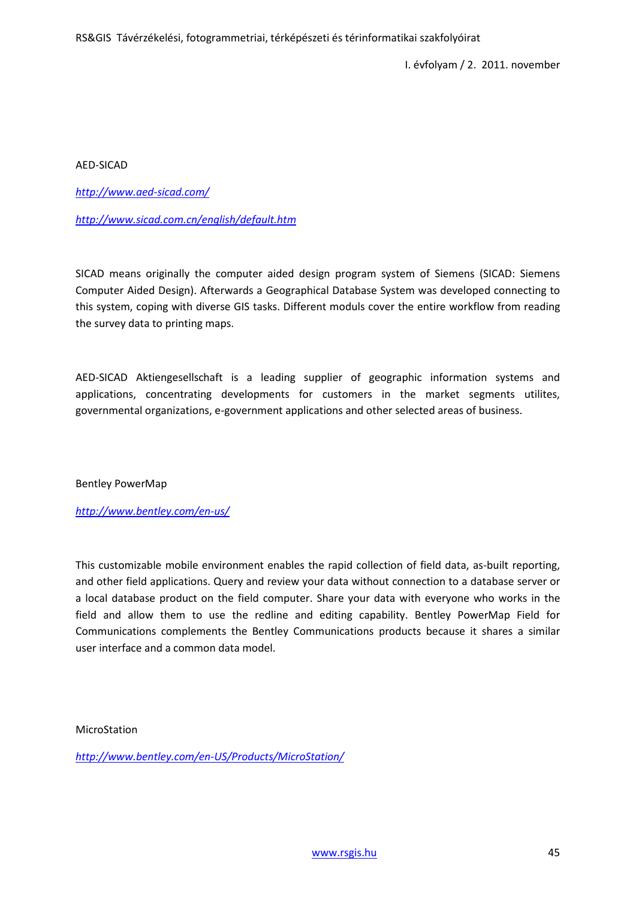AED-SICAD

*<http://www.aed-sicad.com/>*

*<http://www.sicad.com.cn/english/default.htm>*

SICAD means originally the computer aided design program system of Siemens (SICAD: Siemens Computer Aided Design). Afterwards a Geographical Database System was developed connecting to this system, coping with diverse GIS tasks. Different moduls cover the entire workflow from reading the survey data to printing maps.

AED-SICAD Aktiengesellschaft is a leading supplier of geographic information systems and applications, concentrating developments for customers in the market segments utilites, governmental organizations, e-government applications and other selected areas of business.

Bentley PowerMap

*<http://www.bentley.com/en-us/>*

This customizable mobile environment enables the rapid collection of field data, as-built reporting, and other field applications. Query and review your data without connection to a database server or a local database product on the field computer. Share your data with everyone who works in the field and allow them to use the redline and editing capability. Bentley PowerMap Field for Communications complements the Bentley Communications products because it shares a similar user interface and a common data model.

MicroStation

*[http://www.bentley.com/en-US/Products/MicroStation/](http://www.bentley.com/en%1eUS/Products/MicroStation/)*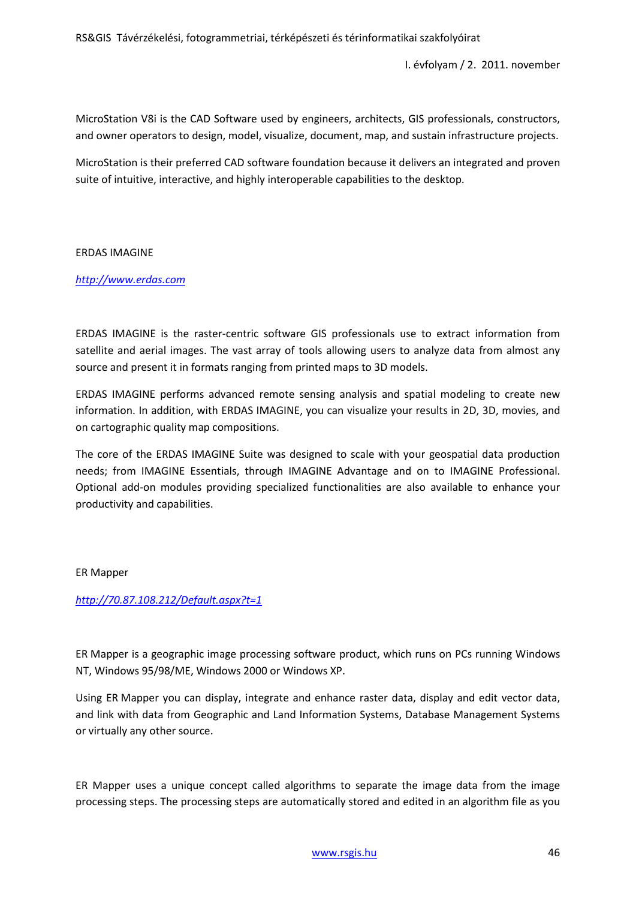I. évfolyam / 2. 2011. november

MicroStation V8i is the CAD Software used by engineers, architects, GIS professionals, constructors, and owner operators to design, model, visualize, document, map, and sustain infrastructure projects.

MicroStation is their preferred CAD software foundation because it delivers an integrated and proven suite of intuitive, interactive, and highly interoperable capabilities to the desktop.

## ERDAS IMAGINE

# *[http://www.erdas.com](http://www.erdas.com/)*

ERDAS IMAGINE is the raster-centric software GIS professionals use to extract information from satellite and aerial images. The vast array of tools allowing users to analyze data from almost any source and present it in formats ranging from printed maps to 3D models.

ERDAS IMAGINE performs advanced remote sensing analysis and spatial modeling to create new information. In addition, with ERDAS IMAGINE, you can visualize your results in 2D, 3D, movies, and on cartographic quality map compositions.

The core of the ERDAS IMAGINE Suite was designed to scale with your geospatial data production needs; from IMAGINE Essentials, through IMAGINE Advantage and on to IMAGINE Professional. Optional add-on modules providing specialized functionalities are also available to enhance your productivity and capabilities.

#### ER Mapper

#### *<http://70.87.108.212/Default.aspx?t=1>*

ER Mapper is a geographic image processing software product, which runs on PCs running Windows NT, Windows 95/98/ME, Windows 2000 or Windows XP.

Using ER Mapper you can display, integrate and enhance raster data, display and edit vector data, and link with data from Geographic and Land Information Systems, Database Management Systems or virtually any other source.

ER Mapper uses a unique concept called algorithms to separate the image data from the image processing steps. The processing steps are automatically stored and edited in an algorithm file as you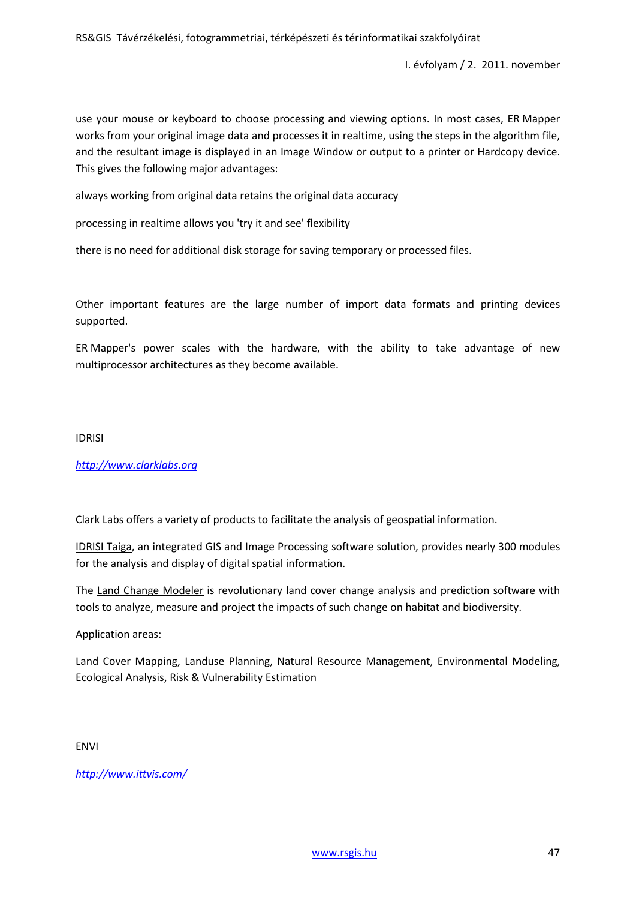use your mouse or keyboard to choose processing and viewing options. In most cases, ER Mapper works from your original image data and processes it in realtime, using the steps in the algorithm file, and the resultant image is displayed in an Image Window or output to a printer or Hardcopy device. This gives the following major advantages:

always working from original data retains the original data accuracy

processing in realtime allows you 'try it and see' flexibility

there is no need for additional disk storage for saving temporary or processed files.

Other important features are the large number of import data formats and printing devices supported.

ER Mapper's power scales with the hardware, with the ability to take advantage of new multiprocessor architectures as they become available.

#### IDRISI

# *[http://www.clarklabs.org](http://www.clarklabs.org/)*

Clark Labs offers a variety of products to facilitate the analysis of geospatial information.

IDRISI Taiga, an integrated GIS and Image Processing software solution, provides nearly 300 modules for the analysis and display of digital spatial information.

The Land Change Modeler is revolutionary land cover change analysis and prediction software with tools to analyze, measure and project the impacts of such change on habitat and biodiversity.

#### Application areas:

Land Cover Mapping, Landuse Planning, Natural Resource Management, Environmental Modeling, Ecological Analysis, Risk & Vulnerability Estimation

ENVI

*<http://www.ittvis.com/>*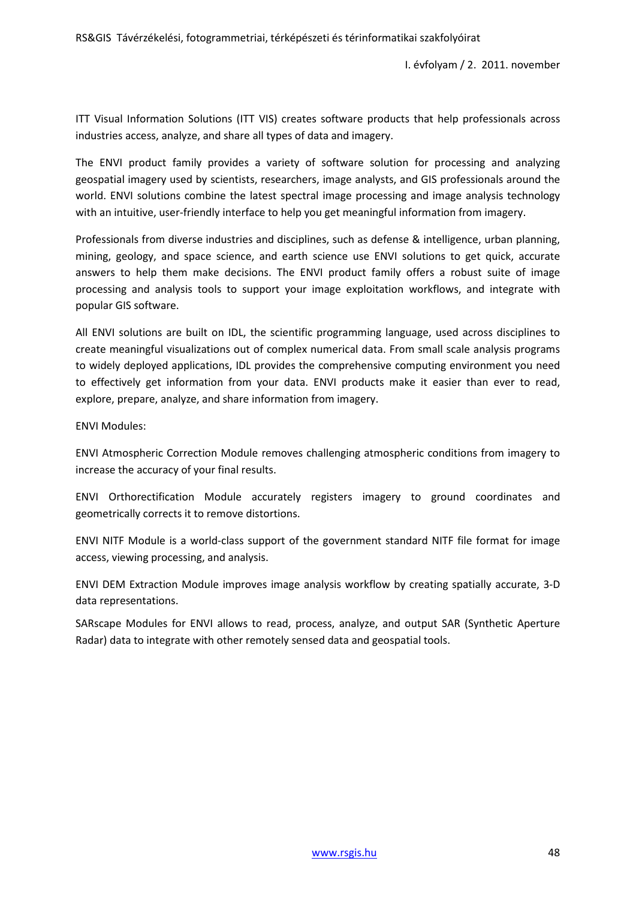I. évfolyam / 2. 2011. november

ITT Visual Information Solutions (ITT VIS) creates software products that help professionals across industries access, analyze, and share all types of data and imagery.

The ENVI product family provides a variety of software solution for processing and analyzing geospatial imagery used by scientists, researchers, image analysts, and GIS professionals around the world. ENVI solutions combine the latest spectral image processing and image analysis technology with an intuitive, user-friendly interface to help you get meaningful information from imagery.

Professionals from diverse industries and disciplines, such as defense & intelligence, urban planning, mining, geology, and space science, and earth science use ENVI solutions to get quick, accurate answers to help them make decisions. The ENVI product family offers a robust suite of image processing and analysis tools to support your image exploitation workflows, and integrate with popular GIS software.

All ENVI solutions are built on IDL, the scientific programming language, used across disciplines to create meaningful visualizations out of complex numerical data. From small scale analysis programs to widely deployed applications, IDL provides the comprehensive computing environment you need to effectively get information from your data. ENVI products make it easier than ever to read, explore, prepare, analyze, and share information from imagery.

ENVI Modules:

ENVI Atmospheric Correction Module removes challenging atmospheric conditions from imagery to increase the accuracy of your final results.

ENVI Orthorectification Module accurately registers imagery to ground coordinates and geometrically corrects it to remove distortions.

ENVI NITF Module is a world-class support of the government standard NITF file format for image access, viewing processing, and analysis.

ENVI DEM Extraction Module improves image analysis workflow by creating spatially accurate, 3-D data representations.

SARscape Modules for ENVI allows to read, process, analyze, and output SAR (Synthetic Aperture Radar) data to integrate with other remotely sensed data and geospatial tools.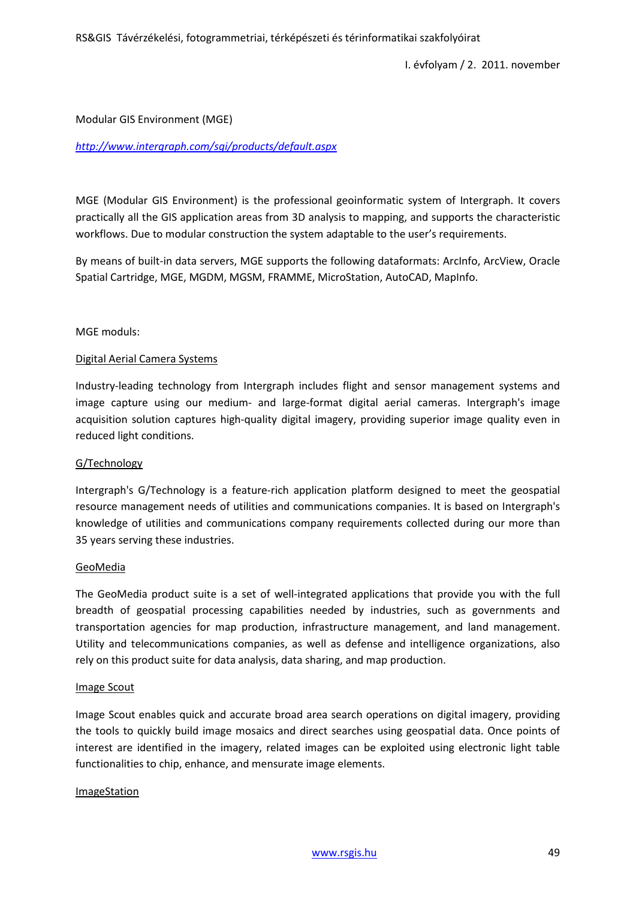I. évfolyam / 2. 2011. november

#### Modular GIS Environment (MGE)

## *<http://www.intergraph.com/sgi/products/default.aspx>*

MGE (Modular GIS Environment) is the professional geoinformatic system of Intergraph. It covers practically all the GIS application areas from 3D analysis to mapping, and supports the characteristic workflows. Due to modular construction the system adaptable to the user's requirements.

By means of built-in data servers, MGE supports the following dataformats: ArcInfo, ArcView, Oracle Spatial Cartridge, MGE, MGDM, MGSM, FRAMME, MicroStation, AutoCAD, MapInfo.

#### MGE moduls:

## Digital Aerial Camera Systems

Industry-leading technology from Intergraph includes flight and sensor management systems and image capture using our medium- and large-format digital aerial cameras. Intergraph's image acquisition solution captures high-quality digital imagery, providing superior image quality even in reduced light conditions.

#### G/Technology

Intergraph's G/Technology is a feature-rich application platform designed to meet the geospatial resource management needs of utilities and communications companies. It is based on Intergraph's knowledge of utilities and communications company requirements collected during our more than 35 years serving these industries.

#### GeoMedia

The GeoMedia product suite is a set of well-integrated applications that provide you with the full breadth of geospatial processing capabilities needed by industries, such as governments and transportation agencies for map production, infrastructure management, and land management. Utility and telecommunications companies, as well as defense and intelligence organizations, also rely on this product suite for data analysis, data sharing, and map production.

#### Image Scout

Image Scout enables quick and accurate broad area search operations on digital imagery, providing the tools to quickly build image mosaics and direct searches using geospatial data. Once points of interest are identified in the imagery, related images can be exploited using electronic light table functionalities to chip, enhance, and mensurate image elements.

#### ImageStation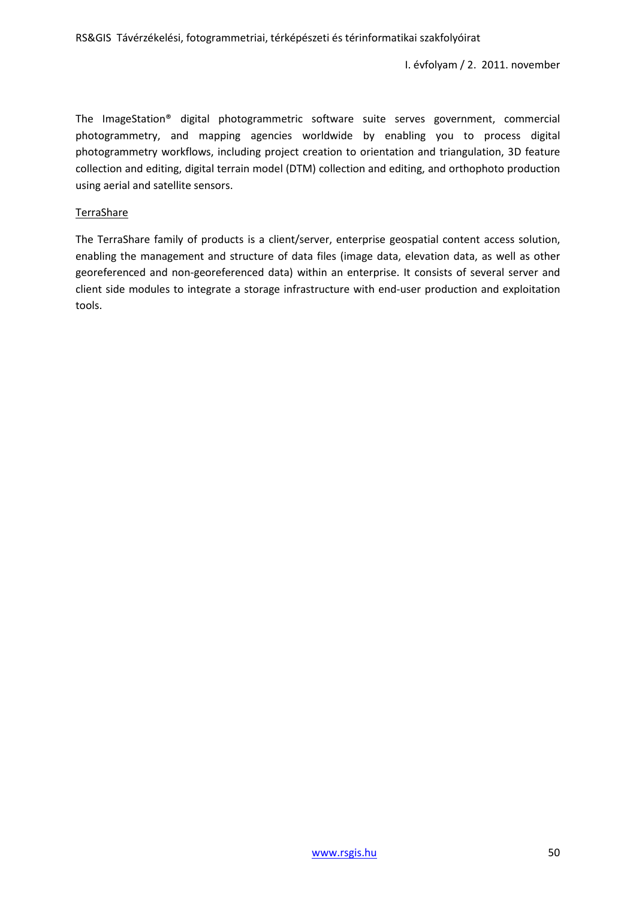The ImageStation® digital photogrammetric software suite serves government, commercial photogrammetry, and mapping agencies worldwide by enabling you to process digital photogrammetry workflows, including project creation to orientation and triangulation, 3D feature collection and editing, digital terrain model (DTM) collection and editing, and orthophoto production using aerial and satellite sensors.

#### TerraShare

The TerraShare family of products is a client/server, enterprise geospatial content access solution, enabling the management and structure of data files (image data, elevation data, as well as other georeferenced and non-georeferenced data) within an enterprise. It consists of several server and client side modules to integrate a storage infrastructure with end-user production and exploitation tools.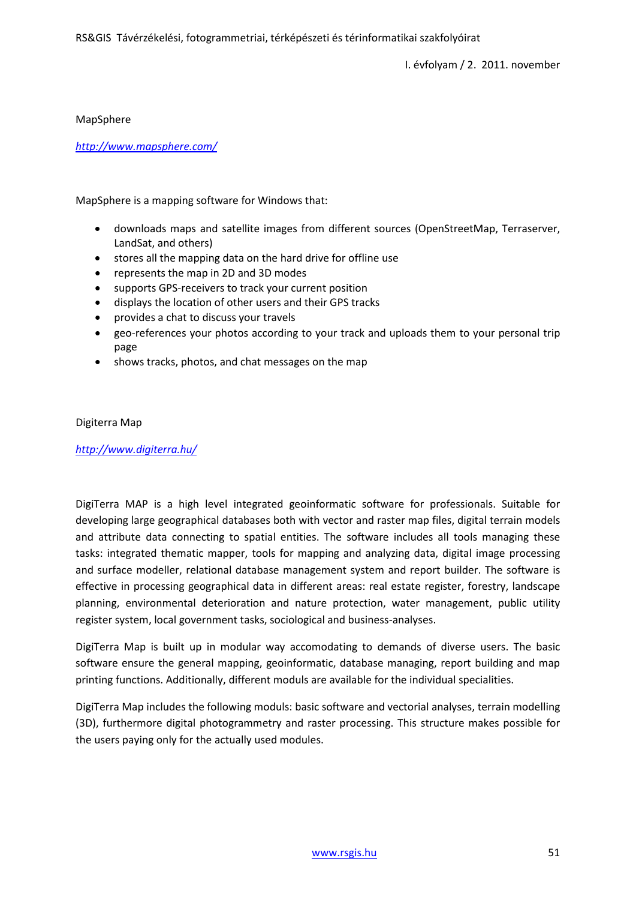MapSphere

*<http://www.mapsphere.com/>*

MapSphere is a mapping software for Windows that:

- downloads maps and satellite images from different sources (OpenStreetMap, Terraserver, LandSat, and others)
- stores all the mapping data on the hard drive for offline use
- represents the map in 2D and 3D modes
- supports GPS-receivers to track your current position
- displays the location of other users and their GPS tracks
- provides a chat to discuss your travels
- geo-references your photos according to your track and uploads them to your personal trip page
- shows tracks, photos, and chat messages on the map

#### Digiterra Map

*<http://www.digiterra.hu/>*

DigiTerra MAP is a high level integrated geoinformatic software for professionals. Suitable for developing large geographical databases both with vector and raster map files, digital terrain models and attribute data connecting to spatial entities. The software includes all tools managing these tasks: integrated thematic mapper, tools for mapping and analyzing data, digital image processing and surface modeller, relational database management system and report builder. The software is effective in processing geographical data in different areas: real estate register, forestry, landscape planning, environmental deterioration and nature protection, water management, public utility register system, local government tasks, sociological and business-analyses.

DigiTerra Map is built up in modular way accomodating to demands of diverse users. The basic software ensure the general mapping, geoinformatic, database managing, report building and map printing functions. Additionally, different moduls are available for the individual specialities.

DigiTerra Map includes the following moduls: basic software and vectorial analyses, terrain modelling (3D), furthermore digital photogrammetry and raster processing. This structure makes possible for the users paying only for the actually used modules.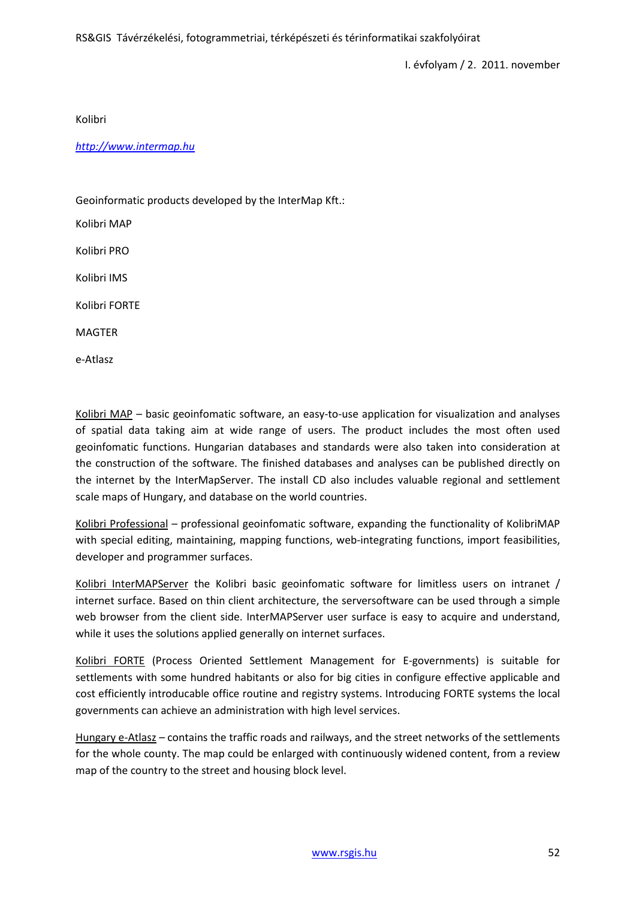Kolibri

*[http://www.intermap.hu](http://www.intermap.hu/)*

Geoinformatic products developed by the InterMap Kft.:

Kolibri MAP

Kolibri PRO

Kolibri IMS

Kolibri FORTE

MAGTER

e-Atlasz

Kolibri MAP - basic geoinfomatic software, an easy-to-use application for visualization and analyses of spatial data taking aim at wide range of users. The product includes the most often used geoinfomatic functions. Hungarian databases and standards were also taken into consideration at the construction of the software. The finished databases and analyses can be published directly on the internet by the InterMapServer. The install CD also includes valuable regional and settlement scale maps of Hungary, and database on the world countries.

Kolibri Professional – professional geoinfomatic software, expanding the functionality of KolibriMAP with special editing, maintaining, mapping functions, web-integrating functions, import feasibilities, developer and programmer surfaces.

Kolibri InterMAPServer the Kolibri basic geoinfomatic software for limitless users on intranet / internet surface. Based on thin client architecture, the serversoftware can be used through a simple web browser from the client side. InterMAPServer user surface is easy to acquire and understand, while it uses the solutions applied generally on internet surfaces.

Kolibri FORTE (Process Oriented Settlement Management for E-governments) is suitable for settlements with some hundred habitants or also for big cities in configure effective applicable and cost efficiently introducable office routine and registry systems. Introducing FORTE systems the local governments can achieve an administration with high level services.

Hungary e-Atlasz – contains the traffic roads and railways, and the street networks of the settlements for the whole county. The map could be enlarged with continuously widened content, from a review map of the country to the street and housing block level.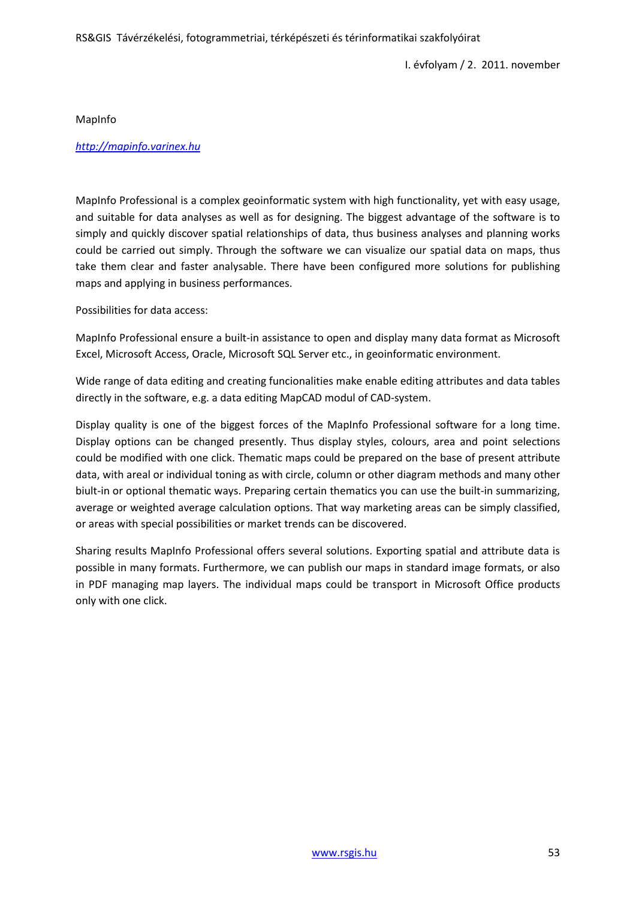MapInfo

#### *[http://mapinfo.varinex.hu](http://mapinfo.varinex.hu/)*

MapInfo Professional is a complex geoinformatic system with high functionality, yet with easy usage, and suitable for data analyses as well as for designing. The biggest advantage of the software is to simply and quickly discover spatial relationships of data, thus business analyses and planning works could be carried out simply. Through the software we can visualize our spatial data on maps, thus take them clear and faster analysable. There have been configured more solutions for publishing maps and applying in business performances.

Possibilities for data access:

MapInfo Professional ensure a built-in assistance to open and display many data format as Microsoft Excel, Microsoft Access, Oracle, Microsoft SQL Server etc., in geoinformatic environment.

Wide range of data editing and creating funcionalities make enable editing attributes and data tables directly in the software, e.g. a data editing MapCAD modul of CAD-system.

Display quality is one of the biggest forces of the MapInfo Professional software for a long time. Display options can be changed presently. Thus display styles, colours, area and point selections could be modified with one click. Thematic maps could be prepared on the base of present attribute data, with areal or individual toning as with circle, column or other diagram methods and many other biult-in or optional thematic ways. Preparing certain thematics you can use the built-in summarizing, average or weighted average calculation options. That way marketing areas can be simply classified, or areas with special possibilities or market trends can be discovered.

Sharing results MapInfo Professional offers several solutions. Exporting spatial and attribute data is possible in many formats. Furthermore, we can publish our maps in standard image formats, or also in PDF managing map layers. The individual maps could be transport in Microsoft Office products only with one click.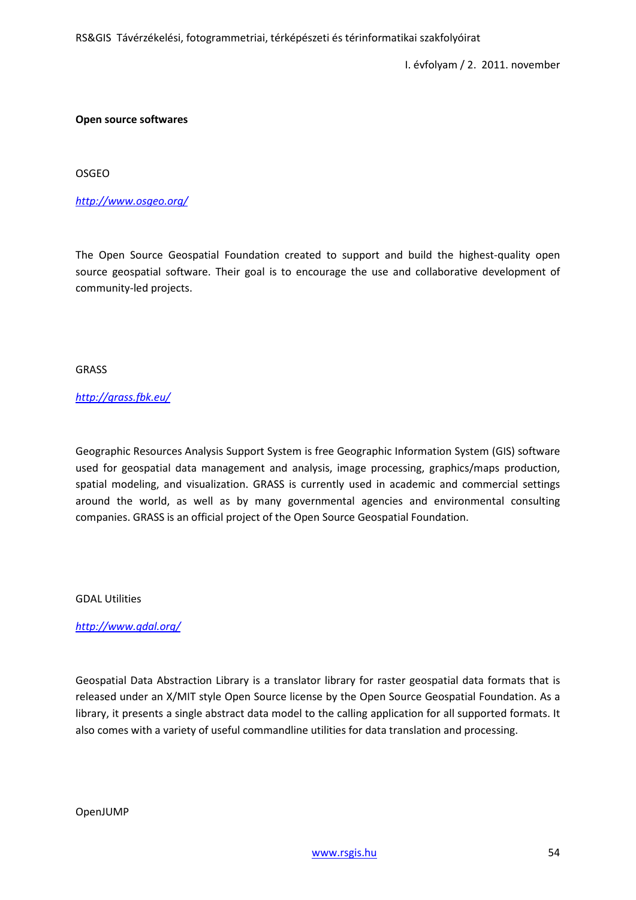#### **Open source softwares**

OSGEO

## *<http://www.osgeo.org/>*

The Open Source Geospatial Foundation created to support and build the highest-quality open source geospatial software. Their goal is to encourage the use and collaborative development of community-led projects.

GRASS

## *<http://grass.fbk.eu/>*

Geographic Resources Analysis Support System is free Geographic Information System (GIS) software used for geospatial data management and analysis, image processing, graphics/maps production, spatial modeling, and visualization. GRASS is currently used in academic and commercial settings around the world, as well as by many governmental agencies and environmental consulting companies. GRASS is an official project of the Open Source Geospatial Foundation.

#### GDAL Utilities

*<http://www.gdal.org/>*

Geospatial Data Abstraction Library is a translator library for raster geospatial data formats that is released under an X/MIT style Open Source license by the Open Source Geospatial Foundation. As a library, it presents a single abstract data model to the calling application for all supported formats. It also comes with a variety of useful commandline utilities for data translation and processing.

OpenJUMP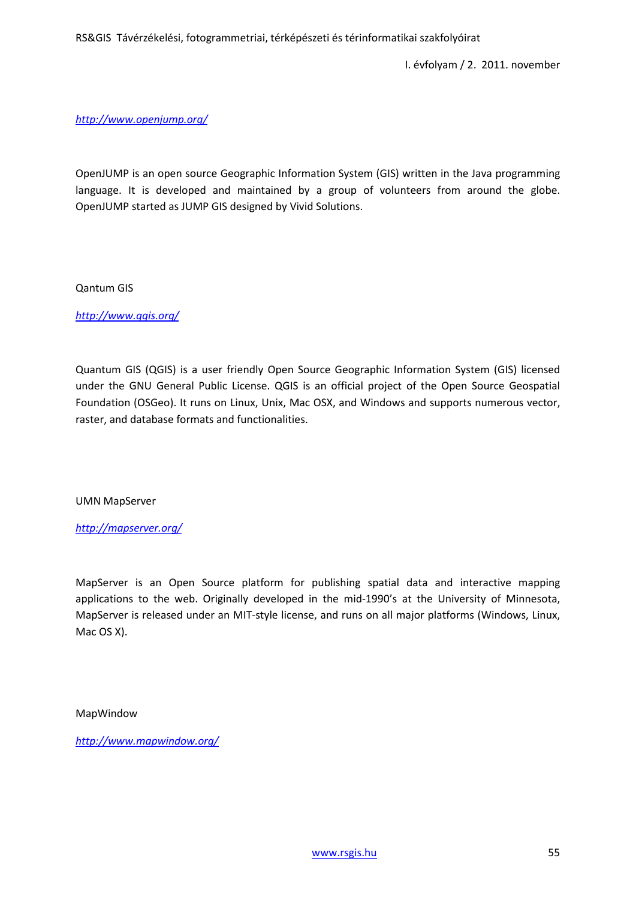I. évfolyam / 2. 2011. november

#### *<http://www.openjump.org/>*

OpenJUMP is an open source Geographic Information System (GIS) written in the Java programming language. It is developed and maintained by a group of volunteers from around the globe. OpenJUMP started as JUMP GIS designed by Vivid Solutions.

#### Qantum GIS

*<http://www.qgis.org/>*

Quantum GIS (QGIS) is a user friendly Open Source Geographic Information System (GIS) licensed under the GNU General Public License. QGIS is an official project of the Open Source Geospatial Foundation (OSGeo). It runs on Linux, Unix, Mac OSX, and Windows and supports numerous vector, raster, and database formats and functionalities.

#### UMN MapServer

#### *<http://mapserver.org/>*

MapServer is an Open Source platform for publishing spatial data and interactive mapping applications to the web. Originally developed in the mid-1990's at the University of Minnesota, MapServer is released under an MIT-style license, and runs on all major platforms (Windows, Linux, Mac OS X).

#### MapWindow

*<http://www.mapwindow.org/>*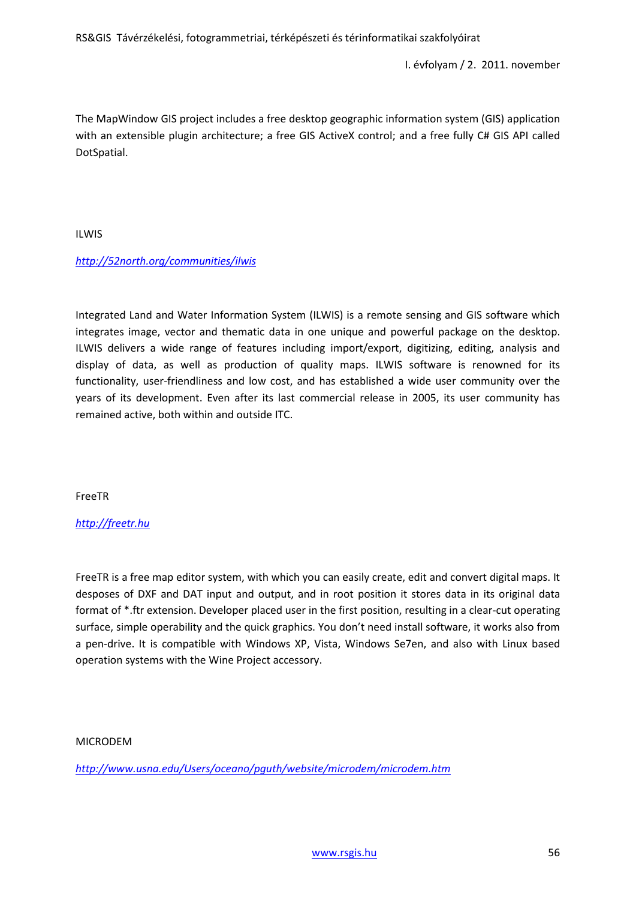I. évfolyam / 2. 2011. november

The MapWindow GIS project includes a free desktop geographic information system (GIS) application with an extensible plugin architecture; a free GIS ActiveX control; and a free fully C# GIS API called DotSpatial.

ILWIS

# *<http://52north.org/communities/ilwis>*

Integrated Land and Water Information System (ILWIS) is a remote sensing and GIS software which integrates image, vector and thematic data in one unique and powerful package on the desktop. ILWIS delivers a wide range of features including import/export, digitizing, editing, analysis and display of data, as well as production of quality maps. ILWIS software is renowned for its functionality, user-friendliness and low cost, and has established a wide user community over the years of its development. Even after its last commercial release in 2005, its user community has remained active, both within and outside ITC.

FreeTR

# *[http://freetr.hu](http://freetr.hu/)*

FreeTR is a free map editor system, with which you can easily create, edit and convert digital maps. It desposes of DXF and DAT input and output, and in root position it stores data in its original data format of \*.ftr extension. Developer placed user in the first position, resulting in a clear-cut operating surface, simple operability and the quick graphics. You don't need install software, it works also from a pen-drive. It is compatible with Windows XP, Vista, Windows Se7en, and also with Linux based operation systems with the Wine Project accessory.

# MICRODEM

*<http://www.usna.edu/Users/oceano/pguth/website/microdem/microdem.htm>*